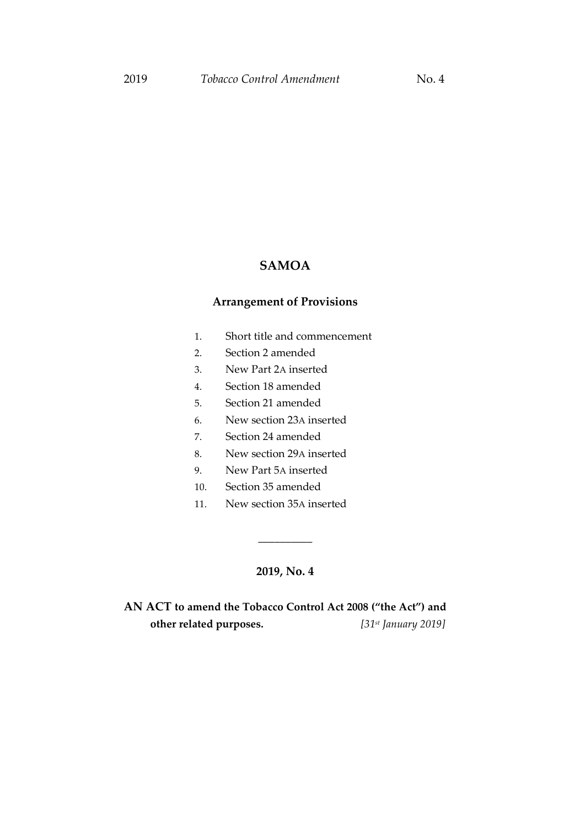# **SAMOA**

# **Arrangement of Provisions**

- 1. Short title and commencement
- 2. Section 2 amended
- 3. New Part 2A inserted
- 4. Section 18 amended
- 5. Section 21 amended
- 6. New section 23A inserted
- 7. Section 24 amended
- 8. New section 29A inserted
- 9. New Part 5A inserted
- 10. Section 35 amended
- 11. New section 35A inserted

#### **2019, No. 4**

\_\_\_\_\_\_\_\_\_\_

**AN ACT to amend the Tobacco Control Act 2008 ("the Act") and other related purposes.** *[31st January 2019]*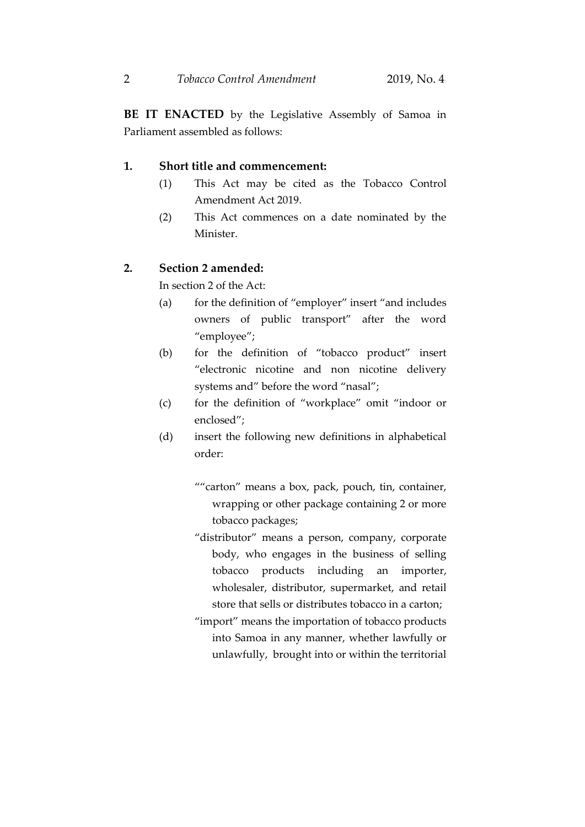**BE IT ENACTED** by the Legislative Assembly of Samoa in Parliament assembled as follows:

#### **1. Short title and commencement:**

- (1) This Act may be cited as the Tobacco Control Amendment Act 2019.
- (2) This Act commences on a date nominated by the Minister.

### **2. Section 2 amended:**

In section 2 of the Act:

- (a) for the definition of "employer" insert "and includes owners of public transport" after the word "employee";
- (b) for the definition of "tobacco product" insert "electronic nicotine and non nicotine delivery systems and" before the word "nasal";
- (c) for the definition of "workplace" omit "indoor or enclosed";
- (d) insert the following new definitions in alphabetical order:
	- ""carton" means a box, pack, pouch, tin, container, wrapping or other package containing 2 or more tobacco packages;
	- "distributor" means a person, company, corporate body, who engages in the business of selling tobacco products including an importer, wholesaler, distributor, supermarket, and retail store that sells or distributes tobacco in a carton;
	- "import" means the importation of tobacco products into Samoa in any manner, whether lawfully or unlawfully, brought into or within the territorial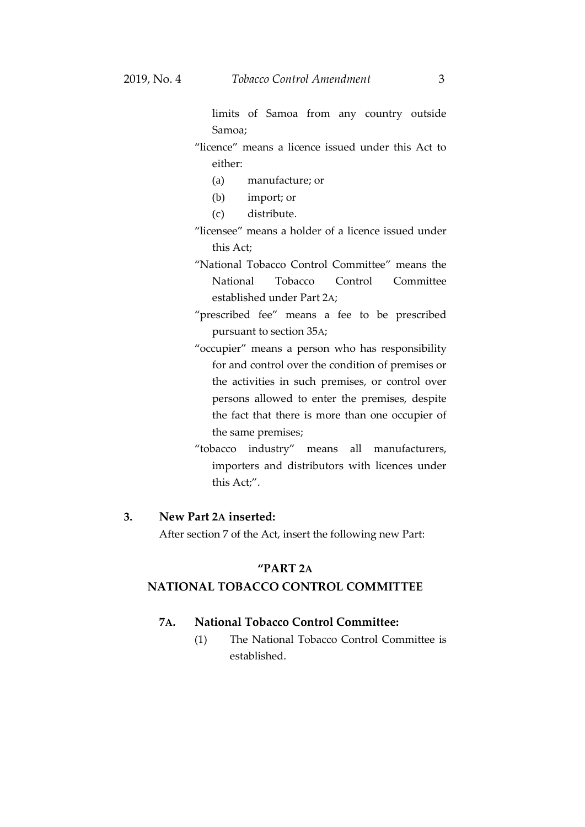limits of Samoa from any country outside Samoa;

- "licence" means a licence issued under this Act to either:
	- (a) manufacture; or
	- (b) import; or
	- (c) distribute.
- "licensee" means a holder of a licence issued under this Act;
- "National Tobacco Control Committee" means the National Tobacco Control Committee established under Part 2A;
- "prescribed fee" means a fee to be prescribed pursuant to section 35A;
- "occupier" means a person who has responsibility for and control over the condition of premises or the activities in such premises, or control over persons allowed to enter the premises, despite the fact that there is more than one occupier of the same premises;
- "tobacco industry" means all manufacturers, importers and distributors with licences under this Act;".

## **3. New Part 2A inserted:**

After section 7 of the Act, insert the following new Part:

### **"PART 2A**

## **NATIONAL TOBACCO CONTROL COMMITTEE**

#### **7A. National Tobacco Control Committee:**

(1) The National Tobacco Control Committee is established.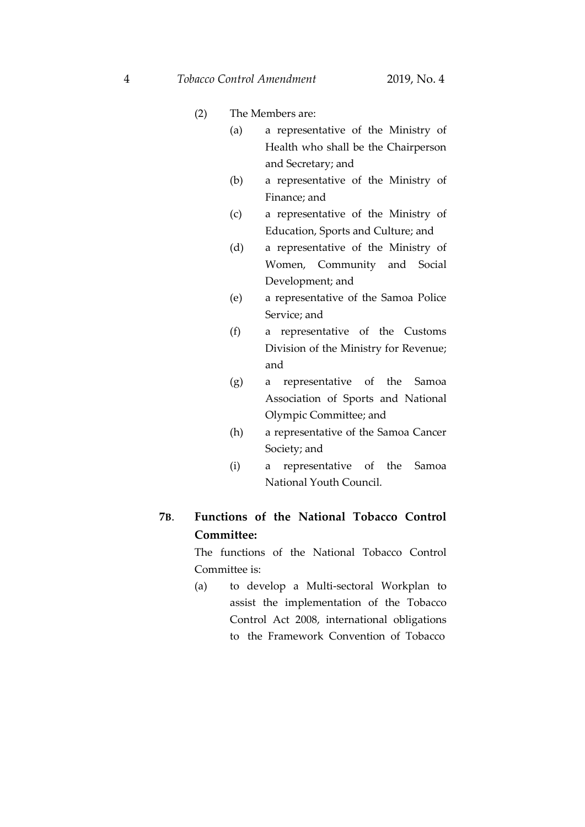- (2) The Members are:
	- (a) a representative of the Ministry of Health who shall be the Chairperson and Secretary; and
	- (b) a representative of the Ministry of Finance; and
	- (c) a representative of the Ministry of Education, Sports and Culture; and
	- (d) a representative of the Ministry of Women, Community and Social Development; and
	- (e) a representative of the Samoa Police Service; and
	- (f) a representative of the Customs Division of the Ministry for Revenue; and
	- (g) a representative of the Samoa Association of Sports and National Olympic Committee; and
	- (h) a representative of the Samoa Cancer Society; and
	- (i) a representative of the Samoa National Youth Council.

# **7B**. **Functions of the National Tobacco Control Committee:**

The functions of the National Tobacco Control Committee is:

(a) to develop a Multi-sectoral Workplan to assist the implementation of the Tobacco Control Act 2008, international obligations to the Framework Convention of Tobacco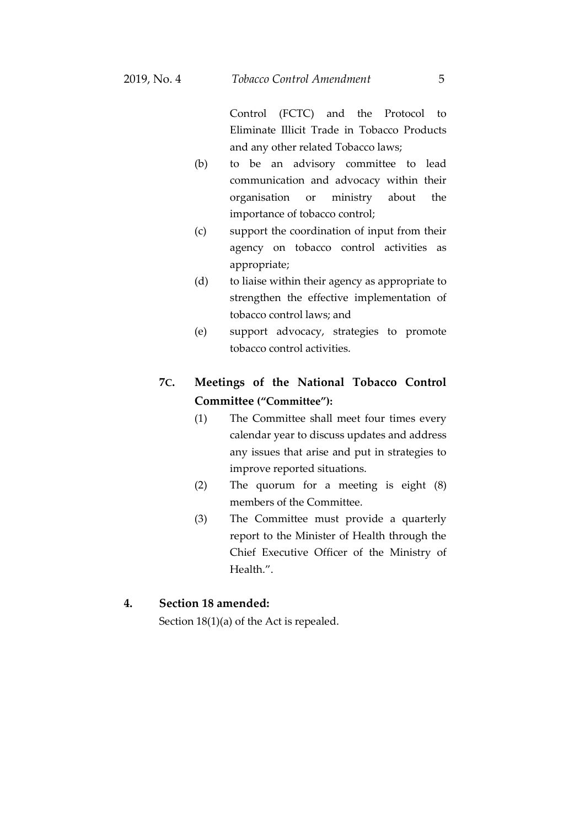Control (FCTC) and the Protocol to Eliminate Illicit Trade in Tobacco Products and any other related Tobacco laws;

- (b) to be an advisory committee to lead communication and advocacy within their organisation or ministry about the importance of tobacco control;
- (c) support the coordination of input from their agency on tobacco control activities as appropriate;
- (d) to liaise within their agency as appropriate to strengthen the effective implementation of tobacco control laws; and
- (e) support advocacy, strategies to promote tobacco control activities.

# **7C. Meetings of the National Tobacco Control Committee ("Committee"):**

- (1) The Committee shall meet four times every calendar year to discuss updates and address any issues that arise and put in strategies to improve reported situations.
- (2) The quorum for a meeting is eight (8) members of the Committee.
- (3) The Committee must provide a quarterly report to the Minister of Health through the Chief Executive Officer of the Ministry of Health.".

## **4. Section 18 amended:**

Section 18(1)(a) of the Act is repealed.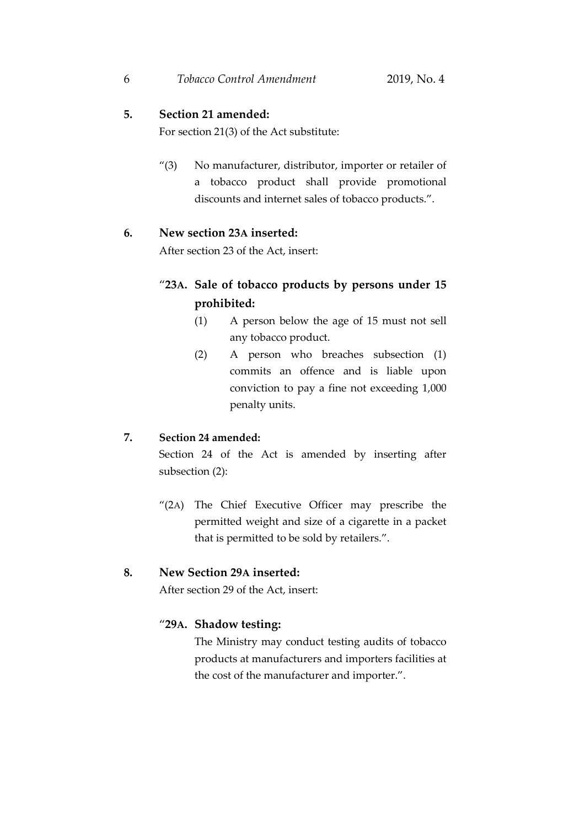#### **5. Section 21 amended:**

For section 21(3) of the Act substitute:

"(3) No manufacturer, distributor, importer or retailer of a tobacco product shall provide promotional discounts and internet sales of tobacco products.".

#### **6. New section 23A inserted:**

After section 23 of the Act, insert:

# "**23A. Sale of tobacco products by persons under 15 prohibited:**

- (1) A person below the age of 15 must not sell any tobacco product.
- (2) A person who breaches subsection (1) commits an offence and is liable upon conviction to pay a fine not exceeding 1,000 penalty units.

# **7. Section 24 amended:**

Section 24 of the Act is amended by inserting after subsection (2):

"(2A) The Chief Executive Officer may prescribe the permitted weight and size of a cigarette in a packet that is permitted to be sold by retailers.".

#### **8. New Section 29A inserted:**

After section 29 of the Act, insert:

#### "**29A. Shadow testing:**

The Ministry may conduct testing audits of tobacco products at manufacturers and importers facilities at the cost of the manufacturer and importer.".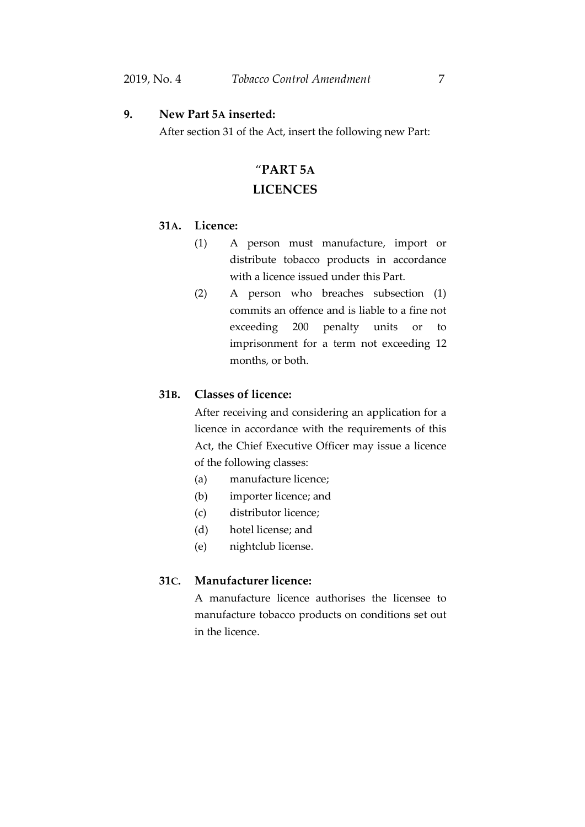#### **9. New Part 5A inserted:**

After section 31 of the Act, insert the following new Part:

# "**PART 5A**

# **LICENCES**

# **31A. Licence:**

- (1) A person must manufacture, import or distribute tobacco products in accordance with a licence issued under this Part.
- (2) A person who breaches subsection (1) commits an offence and is liable to a fine not exceeding 200 penalty units or to imprisonment for a term not exceeding 12 months, or both.

# **31B. Classes of licence:**

After receiving and considering an application for a licence in accordance with the requirements of this Act, the Chief Executive Officer may issue a licence of the following classes:

- (a) manufacture licence;
- (b) importer licence; and
- (c) distributor licence;
- (d) hotel license; and
- (e) nightclub license.

# **31C. Manufacturer licence:**

A manufacture licence authorises the licensee to manufacture tobacco products on conditions set out in the licence.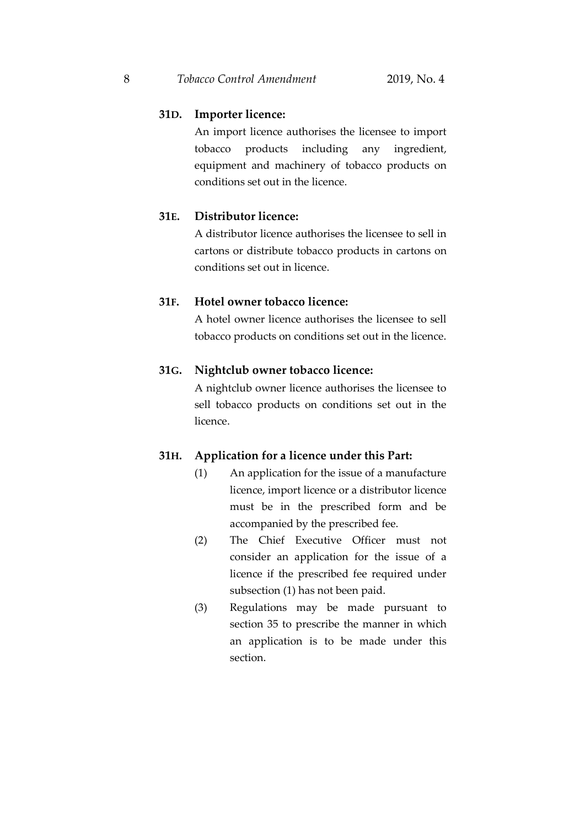## **31D. Importer licence:**

An import licence authorises the licensee to import tobacco products including any ingredient, equipment and machinery of tobacco products on conditions set out in the licence.

# **31E. Distributor licence:**

A distributor licence authorises the licensee to sell in cartons or distribute tobacco products in cartons on conditions set out in licence.

## **31F. Hotel owner tobacco licence:**

A hotel owner licence authorises the licensee to sell tobacco products on conditions set out in the licence.

# **31G. Nightclub owner tobacco licence:**

A nightclub owner licence authorises the licensee to sell tobacco products on conditions set out in the licence.

## **31H. Application for a licence under this Part:**

- (1) An application for the issue of a manufacture licence, import licence or a distributor licence must be in the prescribed form and be accompanied by the prescribed fee.
- (2) The Chief Executive Officer must not consider an application for the issue of a licence if the prescribed fee required under subsection (1) has not been paid.
- (3) Regulations may be made pursuant to section 35 to prescribe the manner in which an application is to be made under this section.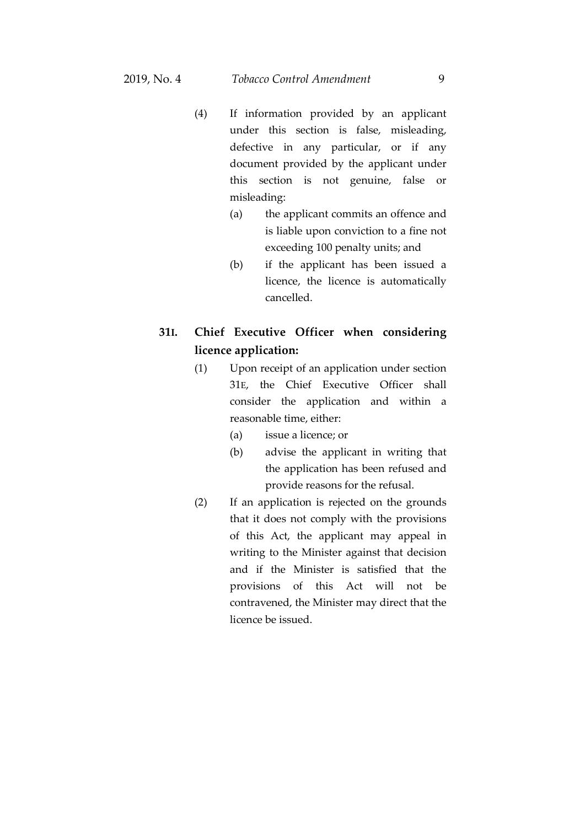- (4) If information provided by an applicant under this section is false, misleading, defective in any particular, or if any document provided by the applicant under this section is not genuine, false or misleading:
	- (a) the applicant commits an offence and is liable upon conviction to a fine not exceeding 100 penalty units; and
	- (b) if the applicant has been issued a licence, the licence is automatically cancelled.

# **31I. Chief Executive Officer when considering licence application:**

- (1) Upon receipt of an application under section 31E, the Chief Executive Officer shall consider the application and within a reasonable time, either:
	- (a) issue a licence; or
	- (b) advise the applicant in writing that the application has been refused and provide reasons for the refusal.
- (2) If an application is rejected on the grounds that it does not comply with the provisions of this Act, the applicant may appeal in writing to the Minister against that decision and if the Minister is satisfied that the provisions of this Act will not be contravened, the Minister may direct that the licence be issued.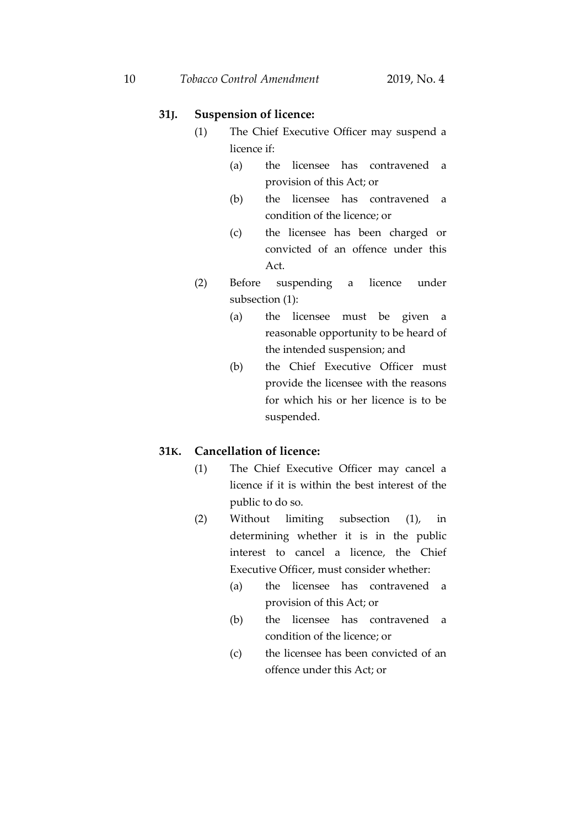# **31J. Suspension of licence:**

- (1) The Chief Executive Officer may suspend a licence if:
	- (a) the licensee has contravened a provision of this Act; or
	- (b) the licensee has contravened a condition of the licence; or
	- (c) the licensee has been charged or convicted of an offence under this Act.
- (2) Before suspending a licence under subsection (1):
	- (a) the licensee must be given a reasonable opportunity to be heard of the intended suspension; and
	- (b) the Chief Executive Officer must provide the licensee with the reasons for which his or her licence is to be suspended.

# **31K. Cancellation of licence:**

- (1) The Chief Executive Officer may cancel a licence if it is within the best interest of the public to do so.
- (2) Without limiting subsection (1), in determining whether it is in the public interest to cancel a licence, the Chief Executive Officer, must consider whether:
	- (a) the licensee has contravened a provision of this Act; or
	- (b) the licensee has contravened a condition of the licence; or
	- (c) the licensee has been convicted of an offence under this Act; or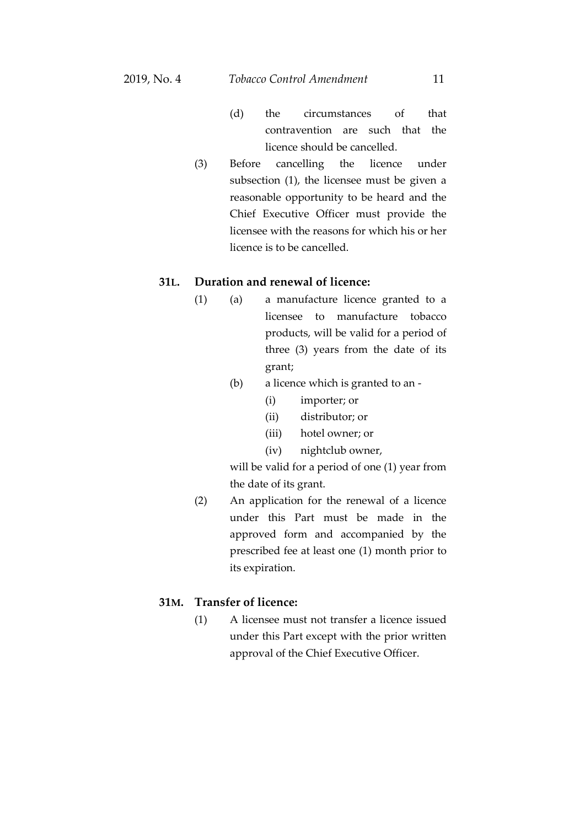- (d) the circumstances of that contravention are such that the licence should be cancelled.
- (3) Before cancelling the licence under subsection (1), the licensee must be given a reasonable opportunity to be heard and the Chief Executive Officer must provide the licensee with the reasons for which his or her licence is to be cancelled.

# **31L. Duration and renewal of licence:**

- (1) (a) a manufacture licence granted to a licensee to manufacture tobacco products, will be valid for a period of three (3) years from the date of its grant;
	- (b) a licence which is granted to an
		- (i) importer; or
		- (ii) distributor; or
		- (iii) hotel owner; or
		- (iv) nightclub owner,

will be valid for a period of one (1) year from the date of its grant.

(2) An application for the renewal of a licence under this Part must be made in the approved form and accompanied by the prescribed fee at least one (1) month prior to its expiration.

# **31M. Transfer of licence:**

(1) A licensee must not transfer a licence issued under this Part except with the prior written approval of the Chief Executive Officer.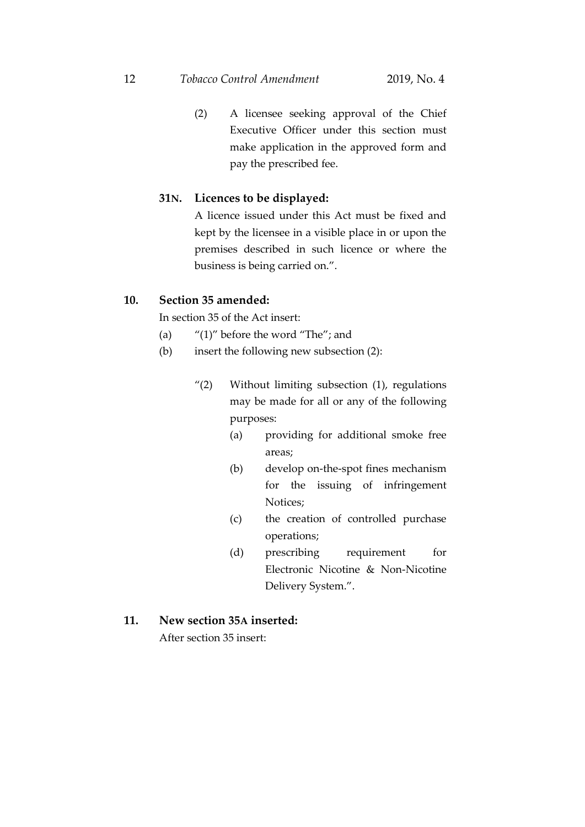#### 12 *Tobacco Control Amendment* 2019, No. 4

(2) A licensee seeking approval of the Chief Executive Officer under this section must make application in the approved form and pay the prescribed fee.

#### **31N. Licences to be displayed:**

A licence issued under this Act must be fixed and kept by the licensee in a visible place in or upon the premises described in such licence or where the business is being carried on.".

# **10. Section 35 amended:**

In section 35 of the Act insert:

- (a)  $"$ (1)" before the word "The"; and
- (b) insert the following new subsection (2):
	- "(2) Without limiting subsection (1), regulations may be made for all or any of the following purposes:
		- (a) providing for additional smoke free areas;
		- (b) develop on-the-spot fines mechanism for the issuing of infringement Notices;
		- (c) the creation of controlled purchase operations;
		- (d) prescribing requirement for Electronic Nicotine & Non-Nicotine Delivery System.".

## **11. New section 35A inserted:**

After section 35 insert: